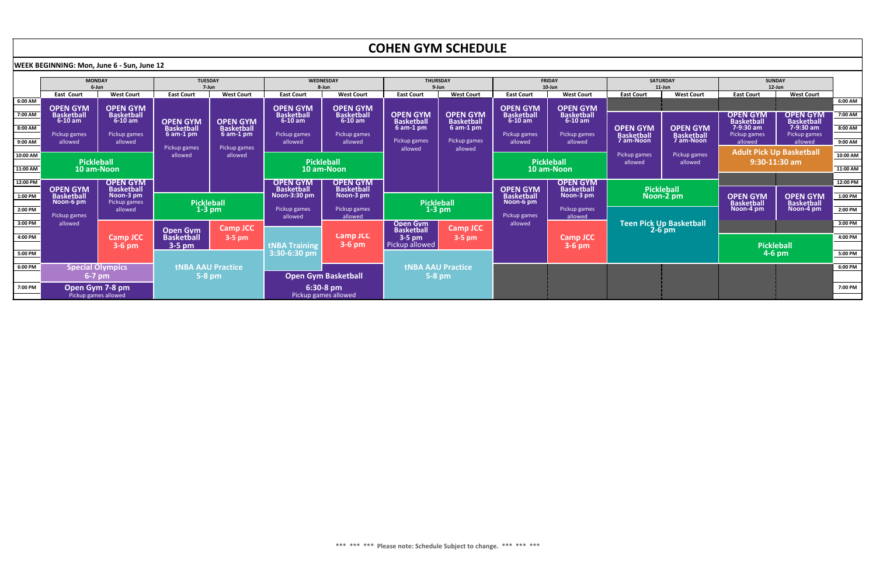|           | COHEN GYM SCHEDULE                                |                                |                                      |                                         |                                                                     |                                   |                                      |                                  |                                                                        |                             |                                |                                 |                                                                              |                                |                       |
|-----------|---------------------------------------------------|--------------------------------|--------------------------------------|-----------------------------------------|---------------------------------------------------------------------|-----------------------------------|--------------------------------------|----------------------------------|------------------------------------------------------------------------|-----------------------------|--------------------------------|---------------------------------|------------------------------------------------------------------------------|--------------------------------|-----------------------|
|           | <b>WEEK BEGINNING: Mon, June 6 - Sun, June 12</b> |                                |                                      |                                         |                                                                     |                                   |                                      |                                  |                                                                        |                             |                                |                                 |                                                                              |                                |                       |
|           | <b>MONDAY</b><br>6-Jun                            |                                | <b>TUESDAY</b><br>7-Jun              |                                         | WEDNESDAY<br>8-Jun                                                  |                                   | <b>THURSDAY</b><br>9-Jun             |                                  | <b>FRIDAY</b><br>$10$ -Jun                                             |                             | <b>SATURDAY</b><br>$11$ -Jun   |                                 | <b>SUNDAY</b><br>$12$ -Jun                                                   |                                |                       |
|           | <b>East Court</b>                                 | <b>West Court</b>              | <b>East Court</b>                    | <b>West Court</b>                       | <b>East Court</b>                                                   | <b>West Court</b>                 | <b>East Court</b>                    | <b>West Court</b>                | <b>East Court</b>                                                      | <b>West Court</b>           | <b>East Court</b>              | <b>West Court</b>               | <b>East Court</b>                                                            | <b>West Court</b>              |                       |
| 6:00 AM   | <b>OPEN GYM</b>                                   | <b>OPEN GYM</b>                |                                      |                                         | <b>OPEN GYM</b>                                                     | <b>OPEN GYM</b>                   |                                      |                                  | <b>OPEN GYM</b>                                                        | <b>OPEN GYM</b>             |                                |                                 |                                                                              |                                | $6:00$ AM $\parallel$ |
| 7:00 AM   | <b>Basketball</b>                                 | <b>Basketball</b>              |                                      |                                         | <b>Basketball</b>                                                   | <b>Basketball</b>                 | <b>OPEN GYM</b>                      | <b>OPEN GYM</b>                  | <b>Basketball</b>                                                      | <b>Basketball</b>           |                                |                                 | <b>OPEN GYM</b>                                                              | <b>OPEN GYM</b>                | 7:00 AM               |
| $8:00$ AM | $6-10$ am                                         | $6-10$ am                      | <b>OPEN GYM</b><br><b>Basketball</b> | <b>OPEN GYM</b><br><b>Basketball</b>    | $6-10$ am                                                           | $6-10$ am                         | <b>Basketball</b><br>$6$ am-1 pm     | <b>Basketball</b><br>$6$ am-1 pm | $6-10$ am                                                              | $6-10$ am                   | <b>OPEN GYM</b>                | <b>OPEN GYM</b>                 | <b>Basketball</b><br>7-9:30 am                                               | <b>Basketball</b><br>7-9:30 am | $8:00$ AM $\vert$     |
|           | Pickup games                                      | Pickup games                   | $6$ am-1 pm                          | $6$ am-1 pm                             | Pickup games                                                        | Pickup games                      |                                      |                                  | Pickup games                                                           | Pickup games                | <b>Basketball</b><br>7 am-Noon | <b>Basketball</b>               | Pickup games                                                                 | Pickup games                   |                       |
| 9:00 AM   | allowed                                           | allowed                        |                                      |                                         | allowed                                                             | allowed                           | Pickup games<br>allowed              | Pickup games                     | allowed                                                                | allowed                     |                                |                                 | allowed                                                                      | allowed                        | $9:00$ AM             |
| 10:00 AM  |                                                   | allowed                        |                                      | Pickup games<br>Pickup games<br>allowed |                                                                     |                                   |                                      | allowed                          |                                                                        | Pickup games                | Pickup games                   | <b>Adult Pick Up Basketball</b> |                                                                              | $10:00$ AM                     |                       |
|           | <b>Pickleball</b>                                 |                                |                                      |                                         | <b>Pickleball</b>                                                   |                                   |                                      |                                  | <b>Pickleball</b>                                                      |                             | allowed<br>allowed             |                                 | $9:30 - 11:30$ am                                                            |                                |                       |
| 11:00 AM  | 10 am-Noon                                        |                                |                                      |                                         | 10 am-Noon                                                          |                                   |                                      |                                  | 10 am-Noon                                                             |                             |                                |                                 |                                                                              |                                | $11:00$ AM            |
| 12:00 PM  |                                                   | <b>OPEN GYM</b>                |                                      |                                         | <b>OPEN GYM</b>                                                     | <b>OPEN GYM</b>                   |                                      |                                  |                                                                        | <b>OPEN GYM</b>             |                                |                                 |                                                                              |                                | 12:00 PM              |
| 1:00 PM   | <b>OPEN GYM</b><br><b>Basketball</b>              | <b>Basketball</b><br>Noon-3 pm |                                      |                                         | <b>Basketball</b><br><b>Basketball</b><br>Noon-3:30 pm<br>Noon-3 pm |                                   |                                      |                                  | <b>OPEN GYM</b><br><b>Basketball</b><br>Noon-3 pm<br><b>Basketball</b> |                             | <b>Pickleball</b><br>Noon-2 pm |                                 | <b>OPEN GYM</b><br><b>OPEN GYM</b><br><b>Basketball</b><br><b>Basketball</b> |                                | $1:00$ PM $\vert$     |
|           | Noon-6 pm<br>Pickup games                         |                                |                                      | <b>Pickleball</b>                       |                                                                     | <b>Pickleball</b>                 |                                      | Noon-6 pm                        |                                                                        |                             |                                |                                 |                                                                              |                                |                       |
| 2:00 PM   | allowed<br>Pickup games                           |                                |                                      | $1-3$ pm                                | Pickup games<br>allowed                                             | Pickup games<br>allowed           | $1-3$ pm                             |                                  | Pickup games<br>Pickup games<br>allowed                                |                             |                                |                                 | Noon-4 pm                                                                    | Noon-4 pm                      | $2:00$ PM $\parallel$ |
| 3:00 PM   | allowed                                           |                                |                                      |                                         |                                                                     |                                   | Open Gym                             |                                  | allowed                                                                |                             |                                | <b>Teen Pick Up Basketball</b>  |                                                                              |                                | $3:00$ PM             |
|           |                                                   |                                | <b>Open Gym</b>                      | <b>Camp JCC</b>                         |                                                                     | <b>Camp JCC</b>                   | <b>Basketball</b>                    | <b>Camp JCC</b>                  |                                                                        |                             |                                | $2-6$ pm                        |                                                                              |                                |                       |
| 4:00 PM   |                                                   | Camp JCC<br>$3-6$ pm           | <b>Basketball</b><br>3-5 pm          | $3-5$ pm                                | <b>tNBA Training</b>                                                | $3-6$ pm                          | $3-5$ pm<br>Pickup allowed           | $3-5$ pm                         |                                                                        | <b>Camp JCC</b><br>$3-6$ pm |                                |                                 |                                                                              | <b>Pickleball</b>              | 4:00 PM $\vert$       |
| 5:00 PM   |                                                   |                                |                                      | 3:30-6:30 pm                            |                                                                     |                                   |                                      |                                  |                                                                        |                             |                                | $4-6$ pm                        |                                                                              | $5:00$ PM                      |                       |
| 6:00 PM   |                                                   |                                | <b>tNBA AAU Practice</b>             |                                         |                                                                     |                                   |                                      |                                  |                                                                        |                             |                                |                                 |                                                                              |                                | $6:00$ PM $\parallel$ |
|           | <b>Special Olympics</b><br>$6-7$ pm               |                                | $5-8$ pm                             |                                         | <b>Open Gym Basketball</b>                                          |                                   | <b>tNBA AAU Practice</b><br>$5-8$ pm |                                  |                                                                        |                             |                                |                                 |                                                                              |                                |                       |
|           |                                                   |                                |                                      |                                         |                                                                     |                                   |                                      |                                  |                                                                        |                             |                                |                                 |                                                                              |                                |                       |
| 7:00 PM   | Open Gym 7-8 pm<br>Pickup games allowed           |                                |                                      |                                         |                                                                     | 6:30-8 pm<br>Pickup games allowed |                                      |                                  |                                                                        |                             |                                |                                 |                                                                              |                                | 7:00 PM               |
|           |                                                   |                                |                                      |                                         |                                                                     |                                   |                                      |                                  |                                                                        |                             |                                |                                 |                                                                              |                                |                       |

## COHEN GYM SCHEDULE